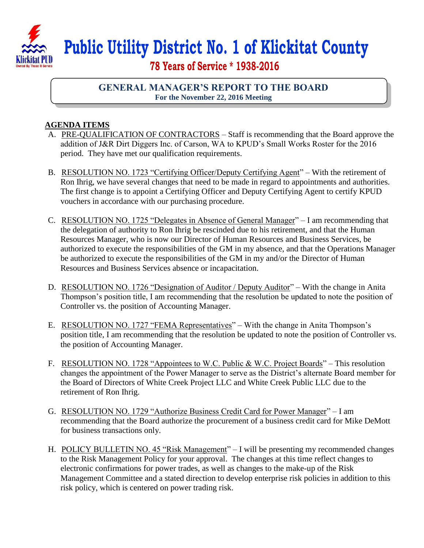

## **Public Utility District No. 1 of Klickitat County**

 **78 Years of Service \* 1938-2016**

## **GENERAL MANAGER'S REPORT TO THE BOARD For the November 22, 2016 Meeting**

## **AGENDA ITEMS**

- A. PRE-QUALIFICATION OF CONTRACTORS Staff is recommending that the Board approve the addition of J&R Dirt Diggers Inc. of Carson, WA to KPUD's Small Works Roster for the 2016 period. They have met our qualification requirements.
- B. RESOLUTION NO. 1723 "Certifying Officer/Deputy Certifying Agent" With the retirement of Ron Ihrig, we have several changes that need to be made in regard to appointments and authorities. The first change is to appoint a Certifying Officer and Deputy Certifying Agent to certify KPUD vouchers in accordance with our purchasing procedure.
- C. RESOLUTION NO. 1725 "Delegates in Absence of General Manager" I am recommending that the delegation of authority to Ron Ihrig be rescinded due to his retirement, and that the Human Resources Manager, who is now our Director of Human Resources and Business Services, be authorized to execute the responsibilities of the GM in my absence, and that the Operations Manager be authorized to execute the responsibilities of the GM in my and/or the Director of Human Resources and Business Services absence or incapacitation.
- D. RESOLUTION NO. 1726 "Designation of Auditor / Deputy Auditor" With the change in Anita Thompson's position title, I am recommending that the resolution be updated to note the position of Controller vs. the position of Accounting Manager.
- E. RESOLUTION NO. 1727 "FEMA Representatives" With the change in Anita Thompson's position title, I am recommending that the resolution be updated to note the position of Controller vs. the position of Accounting Manager.
- F. RESOLUTION NO. 1728 "Appointees to W.C. Public & W.C. Project Boards" This resolution changes the appointment of the Power Manager to serve as the District's alternate Board member for the Board of Directors of White Creek Project LLC and White Creek Public LLC due to the retirement of Ron Ihrig.
- G. RESOLUTION NO. 1729 "Authorize Business Credit Card for Power Manager" I am recommending that the Board authorize the procurement of a business credit card for Mike DeMott for business transactions only.
- H. POLICY BULLETIN NO. 45 "Risk Management" I will be presenting my recommended changes to the Risk Management Policy for your approval. The changes at this time reflect changes to electronic confirmations for power trades, as well as changes to the make-up of the Risk Management Committee and a stated direction to develop enterprise risk policies in addition to this risk policy, which is centered on power trading risk.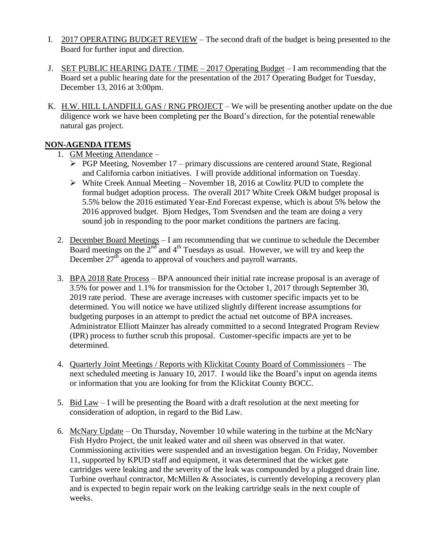- I. 2017 OPERATING BUDGET REVIEW The second draft of the budget is being presented to the Board for further input and direction.
- J. SET PUBLIC HEARING DATE / TIME  $-2017$  Operating Budget  $-1$  am recommending that the Board set a public hearing date for the presentation of the 2017 Operating Budget for Tuesday, December 13, 2016 at 3:00pm.
- K. H.W. HILL LANDFILL GAS / RNG PROJECT We will be presenting another update on the due diligence work we have been completing per the Board's direction, for the potential renewable natural gas project.

## **NON-AGENDA ITEMS**

- 1. GM Meeting Attendance
	- $\triangleright$  PGP Meeting, November 17 primary discussions are centered around State, Regional and California carbon initiatives. I will provide additional information on Tuesday.
	- $\triangleright$  White Creek Annual Meeting November 18, 2016 at Cowlitz PUD to complete the formal budget adoption process. The overall 2017 White Creek O&M budget proposal is 5.5% below the 2016 estimated Year-End Forecast expense, which is about 5% below the 2016 approved budget. Bjorn Hedges, Tom Svendsen and the team are doing a very sound job in responding to the poor market conditions the partners are facing.
- 2. December Board Meetings I am recommending that we continue to schedule the December Board meetings on the 2<sup>nd</sup> and 4<sup>th</sup> Tuesdays as usual. However, we will try and keep the December  $27^{\text{th}}$  agenda to approval of vouchers and payroll warrants.
- 3. BPA 2018 Rate Process BPA announced their initial rate increase proposal is an average of 3.5% for power and 1.1% for transmission for the October 1, 2017 through September 30, 2019 rate period. These are average increases with customer specific impacts yet to be determined. You will notice we have utilized slightly different increase assumptions for budgeting purposes in an attempt to predict the actual net outcome of BPA increases. Administrator Elliott Mainzer has already committed to a second Integrated Program Review (IPR) process to further scrub this proposal. Customer-specific impacts are yet to be determined.
- 4. Quarterly Joint Meetings / Reports with Klickitat County Board of Commissioners The next scheduled meeting is January 10, 2017. I would like the Board's input on agenda items or information that you are looking for from the Klickitat County BOCC.
- 5. Bid Law I will be presenting the Board with a draft resolution at the next meeting for consideration of adoption, in regard to the Bid Law.
- 6. McNary Update On Thursday, November 10 while watering in the turbine at the McNary Fish Hydro Project, the unit leaked water and oil sheen was observed in that water. Commissioning activities were suspended and an investigation began. On Friday, November 11, supported by KPUD staff and equipment, it was determined that the wicket gate cartridges were leaking and the severity of the leak was compounded by a plugged drain line. Turbine overhaul contractor, McMillen & Associates, is currently developing a recovery plan and is expected to begin repair work on the leaking cartridge seals in the next couple of weeks.